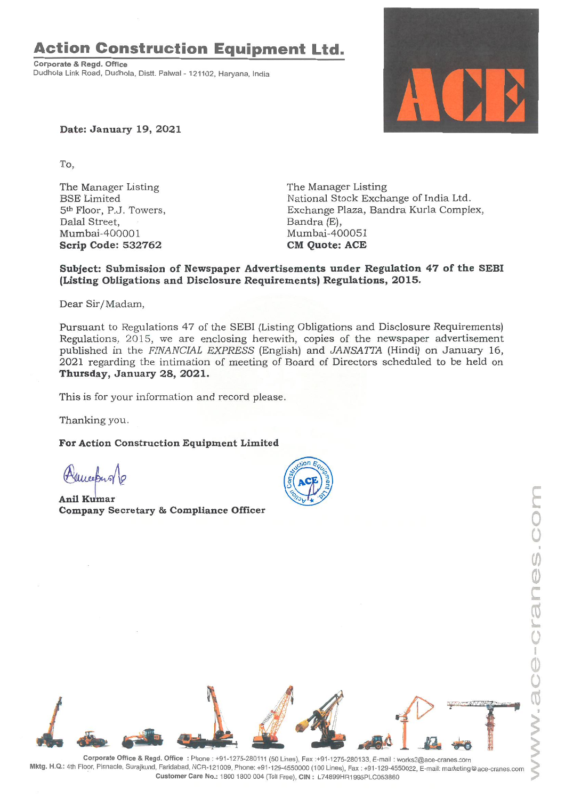# **Action Construction Equipment Ltd.**

Corporate & Regd. Office Dudhola Link Road, Dudhola, Distt. Palwal- 121102, Haryana, India



Date: January 19, 2021

To,

The Manager Listing BSE Limited 5th Floor, P.J. Towers, Dalal Street, Mumbai-400001 Scrip Code: 532762

The Manager Listing National Stock Exchange of India Ltd. Exchange Plaza, Bandra Kurla Complex, Bandra (E), Mumbai-400051 **CM** Quote: ACE

## Subject: Submission of Newspaper Advertisements under Regulation 47 of the SEBI (Listing Obligations and Disclosure Requirements) Regulations, 2015.

Dear Sir/Madam,

Pursuant to Regulations 47 of the SEBI (Listing Obligations and Disclosure Requirements) Regulations, 2015, we are enclosing herewith, copies of the newspaper advertisement published in the *FINANCIAL EXPRESS* (English) and *JANSAITA* (Hindi) on January 16, 2021 regarding the intimation of meeting of Board of Directors scheduled to be held on Thursday, January 28, 2021.

This is for your information and record please.

Thanking you.

For Action Construction Equipment Limited

Murchy

**Anil Kumar** Company Secretary & Compliance Officer



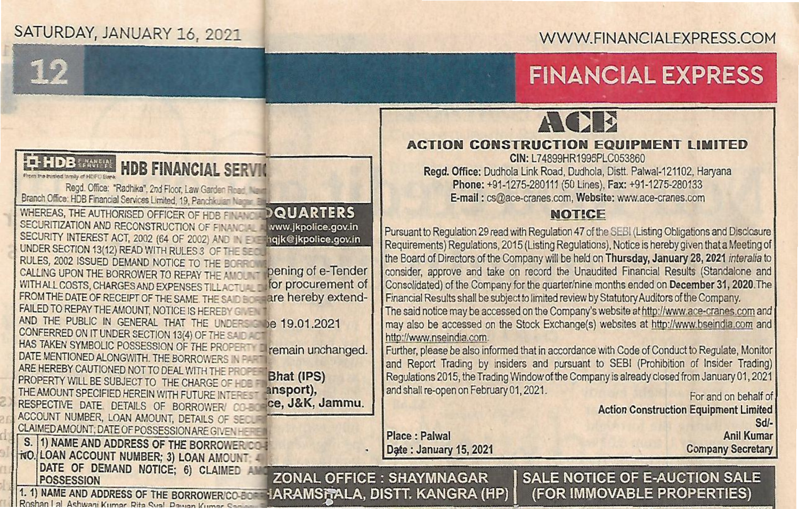## SATURDAY, JANUARY 16, 2021

SECURITIZATION AND RECONSTRUCTION OF FINANCE SECURITY INTEREST ACT, 2002 (64 OF 2002) AND IN EX UNDER SECTION 13(12) READ WITH RULES 3 OF THE S

WHEREAS, THE AUTHORISED OFFICER OF HDB FINAN

FROM THE DATE OF REGEIPT OF THE SAME. THE SA FAILED TO REPAY THE AMOUNT, NOTICE IS HEREBY

DATE MENTIONED ALONGWITH. THE BORROWER ARE HEREBY CAUTIONED NOT TO DEAL WITH THE

THE AMOUNT SPECIFIED HEREIN WITH FUTURE IN RESPECTIVE DATE. DETAILS OF BORROWER! ACCOUNT NUMBER, LOAN AMOUNT, DETAILS OF SCLAIMED AMOUNT: DATE OF POSSESSION ARE GIVEN

CONFERRED ON IT UNDER SECTION 13(4) OF THE SAID

RULES, 2002 ISSUED DEMAND NOTICE TO THE BaR:. . CALLING UPON THE BORROWER TO REPAY THE AMOUN - DENING OF G-TENDER WITHALL COSTS, CHARGES AND EXPENSES TILL ACTUAL - TOT DIFFOLUREMENT Of WITH ALL COSTS, CHARGES AND EXPENSES TILLACTURE TO FORCULTE OF THE SAME THE SALE CORRECTED AT the procurement of

**HDB FINANCIAL SERVIC** 

**DQUARTERS** 

www.jkpolice.gov.in hqjk@jkpolice.gov.in

ce. J&K. Jammu.

Regd. Office: "Radhika", 2nd Floor, Law Garden Road, Na Branch Office: HDB Financial Services Limited, 19, Panchkulan Nans

HAS TAKEN SYMBOLIC POSSESSION OF THE PROPERTY 3 remain unchanged.

AND THE PUBLIC IN GENERAL THAT THE UNDERSTAND 19.01.2021

PROPERTY WILL BE SUBJECT TO THE CHARGE OF HOST B**IRAC (IPS)**<br>THE AMOUNT SPECIEUR HEREIN WITH ELIT USE A **THE CHARGE OF KY:** 

## **.. \_ .. <sup>f</sup>'!, \_\_ . .** WWW.FINANCIALEXPRESS.COM

# 12

**IDB** 

Fitten the transland humble of attention (1-4)

POSSESSION

### **FINANCIAL EXPRESS;**  $\overline{ }$



#### **ACTION CONSTRUCTION EQUIPMENT LIMITED**

CIN: L74899HR1995PLC053860 Regd. Office: Dudhola Link Road, Dudhola, Distt. Palwal-121102, Haryana Phone: +91-1275-280111 (50 Lines), Fax: +91-1275-280133 E-mail: cs@ace-cranes.com, Website: www.ace-cranes.com

### **NOTICE**

Pursuant to Regulation 29 read with Regulation 47 of the SEBI (Listing Obligations and Disclosure Requirements) Regulations, 2015 (Listing Regulations), Notice is hereby given that a Meeting of the Board of Directors of the Company will be held on Thursday, January 28, 2021 *intaralia* to consider, approve and take on record the Unaudited Financial Results (Standalone and Consolidated) of the Company for the quarter/nine months ended on December 31, 2020. The Financial Results shall be subject to limited review by Statutory Auditors of the Company.

The said notice may be accessed on the Company's website at http://www.ace-cranes.com and may also be accessed on the Stock Exchange(s) websites at http://www.bseindia.com and http://www.nseindia.com

For and on behaff of Further, please be also infonned that in accordance with Code of Conduct to Regulate, Monitor and Report Trading by insiders and pursuant to SEBI (Prohibition of Insider Trading) Regulations 2015, the Trading Window of the Company is already closed from January01, 2021 and shall re-open on February 01, 2021.

Action Construction Equipment Limited *Sdl·* **Anil Kumar Company Secretary** 

**Place : Palwal** Date: January 15, 2021

**ZONAL OFFICE : SHAYMNAGAR** 

1. 1) NAME AND ADDRESS OF THE BORROWERICO-BOR Roshan Lat Ashwani Kumar, Rita Syal, Pawan Kumar, San

S. 1) NAME AND ADDRESS OF THE BORROWER C

NO. LOAN ACCOUNT NUMBER; 3) LOAN AMOUNT DATE OF DEMAND NOTICE; 6) CLAIMED A

IARAMSTALA, DISTT. KANGRA (HP)

**SALE NOTICE OF E-AUCTION SALE** (FOR IMMOVABLE PROPERTIES)